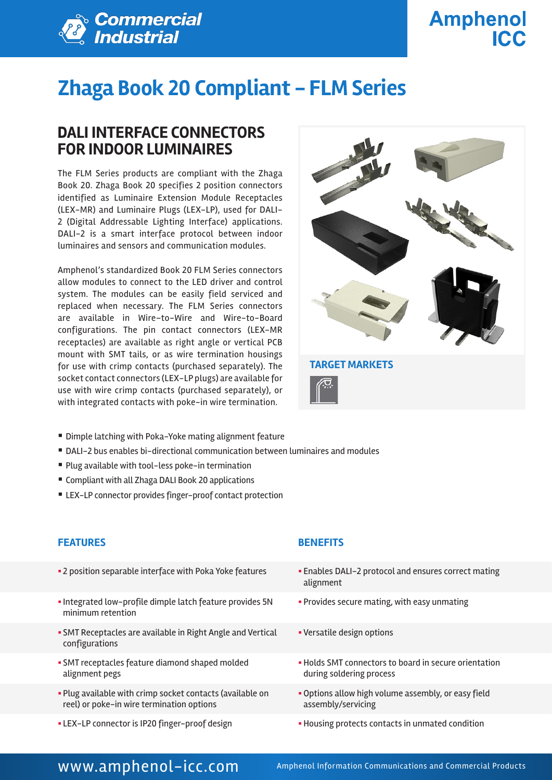

# **Amphenol ICC**

# **Zhaga Book 20 Compliant - FLM Series**

### **DALI INTERFACE CONNECTORS FOR INDOOR LUMINAIRES**

The FLM Series products are compliant with the Zhaga Book 20. Zhaga Book 20 specifies 2 position connectors identified as Luminaire Extension Module Receptacles (LEX-MR) and Luminaire Plugs (LEX-LP), used for DALI-2 (Digital Addressable Lighting Interface) applications. DALI-2 is a smart interface protocol between indoor luminaires and sensors and communication modules.

Amphenol's standardized Book 20 FLM Series connectors allow modules to connect to the LED driver and control system. The modules can be easily field serviced and replaced when necessary. The FLM Series connectors are available in Wire–to-Wire and Wire-to-Board configurations. The pin contact connectors (LEX-MR receptacles) are available as right angle or vertical PCB mount with SMT tails, or as wire termination housings for use with crimp contacts (purchased separately). The socket contact connectors (LEX-LP plugs) are available for use with wire crimp contacts (purchased separately), or with integrated contacts with poke-in wire termination.



- Dimple latching with Poka-Yoke mating alignment feature
- DALI-2 bus enables bi-directional communication between luminaires and modules
- Plug available with tool-less poke-in termination
- Compliant with all Zhaga DALI Book 20 applications
- LEX-LP connector provides finger-proof contact protection

### **FEATURES BENEFITS**

- 2 position separable interface with Poka Yoke features **Enables DALI-2** protocol and ensures correct mating
- § Integrated low-profile dimple latch feature provides 5N minimum retention
- **SMT Receptacles are available in Right Angle and Vertical** configurations
- § SMT receptacles feature diamond shaped molded alignment pegs
- § Plug available with crimp socket contacts (available on reel) or poke-in wire termination options
- LEX-LP connector is IP20 finger-proof design  **Housing protects contacts in unmated condition**

- alignment
- **Provides secure mating, with easy unmating**
- § Versatile design options
- § Holds SMT connectors to board in secure orientation during soldering process
- Options allow high volume assembly, or easy field assembly/servicing
- 

### WWW.amphenol-icc.com Amphenol Information Communications and Commercial Products